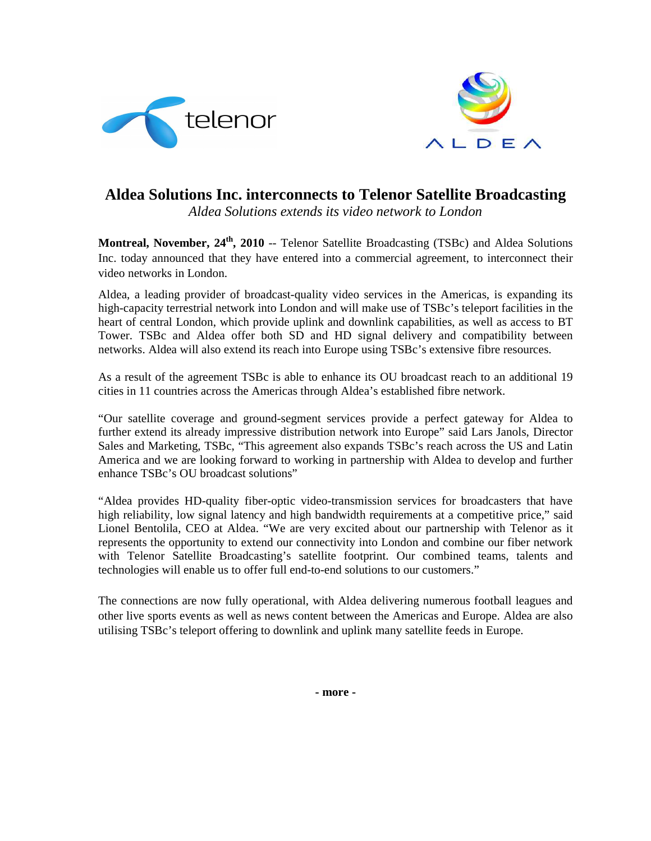



## **Aldea Solutions Inc. interconnects to Telenor Satellite Broadcasting**

*Aldea Solutions extends its video network to London*

**Montreal, November, 24th, 2010** -- Telenor Satellite Broadcasting (TSBc) and Aldea Solutions Inc. today announced that they have entered into a commercial agreement, to interconnect their video networks in London.

Aldea, a leading provider of broadcast-quality video services in the Americas, is expanding its high-capacity terrestrial network into London and will make use of TSBc's teleport facilities in the heart of central London, which provide uplink and downlink capabilities, as well as access to BT Tower. TSBc and Aldea offer both SD and HD signal delivery and compatibility between networks. Aldea will also extend its reach into Europe using TSBc's extensive fibre resources.

As a result of the agreement TSBc is able to enhance its OU broadcast reach to an additional 19 cities in 11 countries across the Americas through Aldea's established fibre network.

"Our satellite coverage and ground-segment services provide a perfect gateway for Aldea to further extend its already impressive distribution network into Europe" said Lars Janols, Director Sales and Marketing, TSBc, "This agreement also expands TSBc's reach across the US and Latin America and we are looking forward to working in partnership with Aldea to develop and further enhance TSBc's OU broadcast solutions"

"Aldea provides HD-quality fiber-optic video-transmission services for broadcasters that have high reliability, low signal latency and high bandwidth requirements at a competitive price," said Lionel Bentolila, CEO at Aldea. "We are very excited about our partnership with Telenor as it represents the opportunity to extend our connectivity into London and combine our fiber network with Telenor Satellite Broadcasting's satellite footprint. Our combined teams, talents and technologies will enable us to offer full end-to-end solutions to our customers."

The connections are now fully operational, with Aldea delivering numerous football leagues and other live sports events as well as news content between the Americas and Europe. Aldea are also utilising TSBc's teleport offering to downlink and uplink many satellite feeds in Europe.

**- more -**